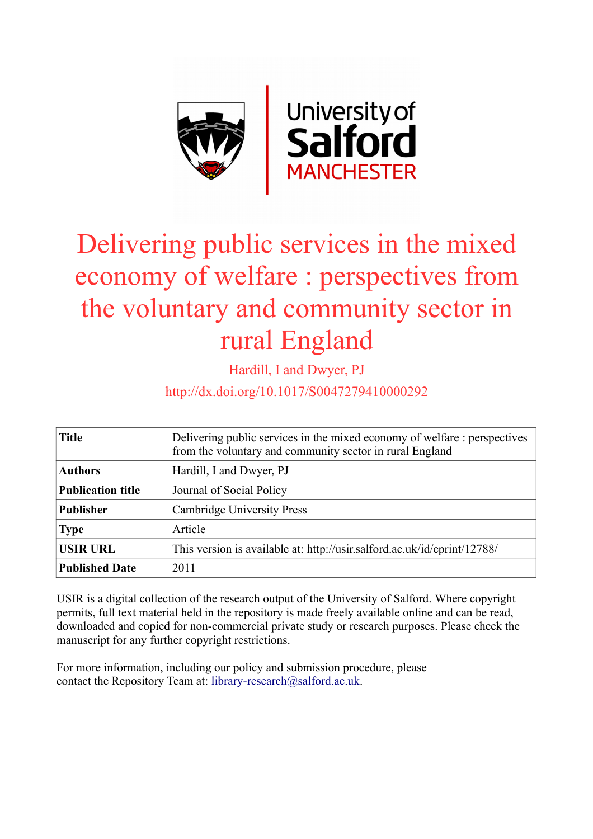

# Delivering public services in the mixed economy of welfare : perspectives from the voluntary and community sector in rural England

Hardill, I and Dwyer, PJ

http://dx.doi.org/10.1017/S0047279410000292

| <b>Title</b>             | Delivering public services in the mixed economy of welfare : perspectives<br>from the voluntary and community sector in rural England |  |
|--------------------------|---------------------------------------------------------------------------------------------------------------------------------------|--|
| <b>Authors</b>           | Hardill, I and Dwyer, PJ                                                                                                              |  |
| <b>Publication title</b> | Journal of Social Policy                                                                                                              |  |
| <b>Publisher</b>         | Cambridge University Press                                                                                                            |  |
| <b>Type</b>              | Article                                                                                                                               |  |
| <b>USIR URL</b>          | This version is available at: http://usir.salford.ac.uk/id/eprint/12788/                                                              |  |
| <b>Published Date</b>    | 2011                                                                                                                                  |  |

USIR is a digital collection of the research output of the University of Salford. Where copyright permits, full text material held in the repository is made freely available online and can be read, downloaded and copied for non-commercial private study or research purposes. Please check the manuscript for any further copyright restrictions.

For more information, including our policy and submission procedure, please contact the Repository Team at: [library-research@salford.ac.uk.](mailto:library-research@salford.ac.uk)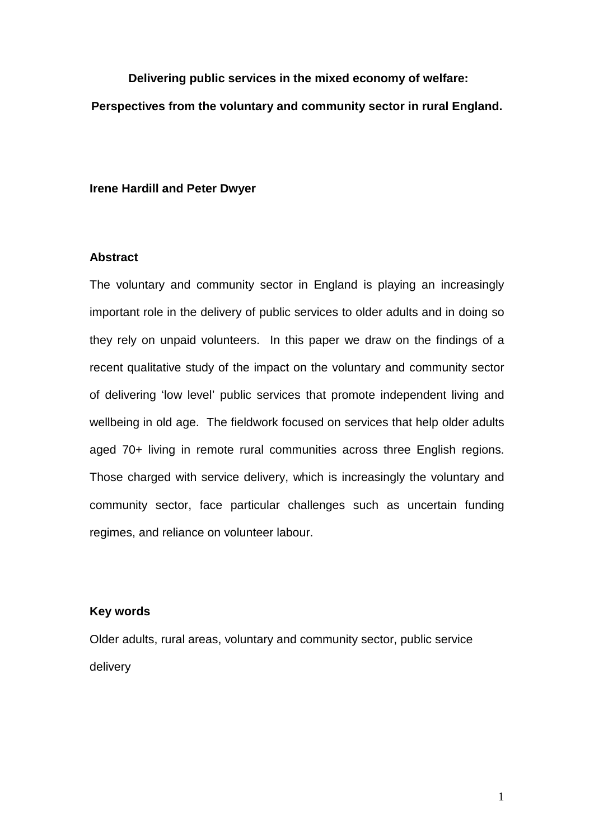**Delivering public services in the mixed economy of welfare: Perspectives from the voluntary and community sector in rural England.**

### **Irene Hardill and Peter Dwyer**

### **Abstract**

The voluntary and community sector in England is playing an increasingly important role in the delivery of public services to older adults and in doing so they rely on unpaid volunteers. In this paper we draw on the findings of a recent qualitative study of the impact on the voluntary and community sector of delivering 'low level' public services that promote independent living and wellbeing in old age. The fieldwork focused on services that help older adults aged 70+ living in remote rural communities across three English regions. Those charged with service delivery, which is increasingly the voluntary and community sector, face particular challenges such as uncertain funding regimes, and reliance on volunteer labour.

### **Key words**

Older adults, rural areas, voluntary and community sector, public service delivery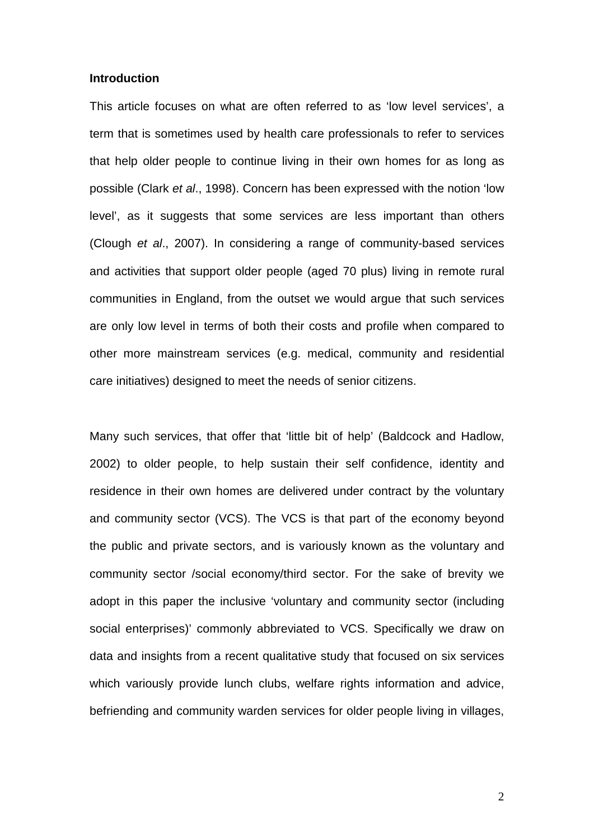### **Introduction**

This article focuses on what are often referred to as 'low level services', a term that is sometimes used by health care professionals to refer to services that help older people to continue living in their own homes for as long as possible (Clark *et al*., 1998). Concern has been expressed with the notion 'low level', as it suggests that some services are less important than others (Clough *et al*., 2007). In considering a range of community-based services and activities that support older people (aged 70 plus) living in remote rural communities in England, from the outset we would argue that such services are only low level in terms of both their costs and profile when compared to other more mainstream services (e.g. medical, community and residential care initiatives) designed to meet the needs of senior citizens.

Many such services, that offer that 'little bit of help' (Baldcock and Hadlow, 2002) to older people, to help sustain their self confidence, identity and residence in their own homes are delivered under contract by the voluntary and community sector (VCS). The VCS is that part of the economy beyond the public and private sectors, and is variously known as the voluntary and community sector /social economy/third sector. For the sake of brevity we adopt in this paper the inclusive 'voluntary and community sector (including social enterprises)' commonly abbreviated to VCS. Specifically we draw on data and insights from a recent qualitative study that focused on six services which variously provide lunch clubs, welfare rights information and advice, befriending and community warden services for older people living in villages,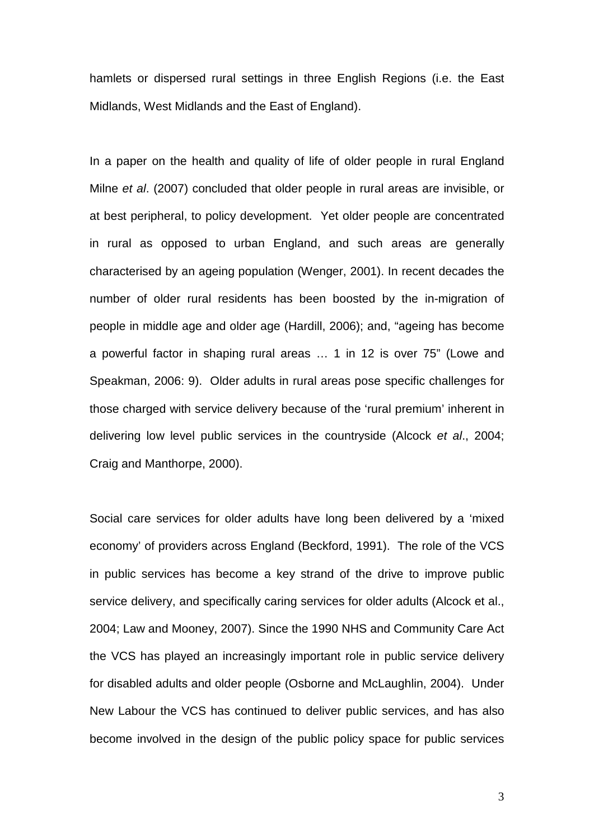hamlets or dispersed rural settings in three English Regions (i.e. the East Midlands, West Midlands and the East of England).

In a paper on the health and quality of life of older people in rural England Milne *et al*. (2007) concluded that older people in rural areas are invisible, or at best peripheral, to policy development. Yet older people are concentrated in rural as opposed to urban England, and such areas are generally characterised by an ageing population (Wenger, 2001). In recent decades the number of older rural residents has been boosted by the in-migration of people in middle age and older age (Hardill, 2006); and, "ageing has become a powerful factor in shaping rural areas … 1 in 12 is over 75" (Lowe and Speakman, 2006: 9). Older adults in rural areas pose specific challenges for those charged with service delivery because of the 'rural premium' inherent in delivering low level public services in the countryside (Alcock *et al*., 2004; Craig and Manthorpe, 2000).

Social care services for older adults have long been delivered by a 'mixed economy' of providers across England (Beckford, 1991). The role of the VCS in public services has become a key strand of the drive to improve public service delivery, and specifically caring services for older adults (Alcock et al., 2004; Law and Mooney, 2007). Since the 1990 NHS and Community Care Act the VCS has played an increasingly important role in public service delivery for disabled adults and older people (Osborne and McLaughlin, 2004). Under New Labour the VCS has continued to deliver public services, and has also become involved in the design of the public policy space for public services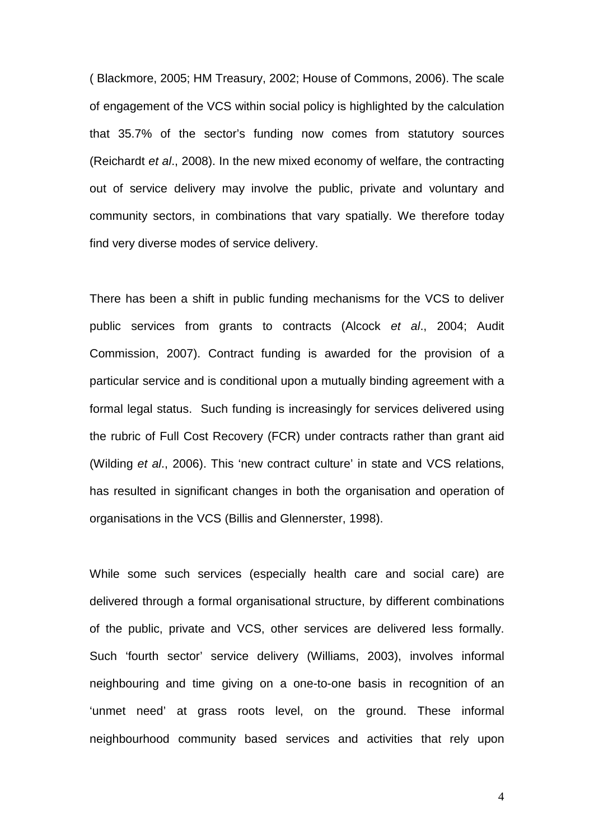( Blackmore, 2005; HM Treasury, 2002; House of Commons, 2006). The scale of engagement of the VCS within social policy is highlighted by the calculation that 35.7% of the sector's funding now comes from statutory sources (Reichardt *et al*., 2008). In the new mixed economy of welfare, the contracting out of service delivery may involve the public, private and voluntary and community sectors, in combinations that vary spatially. We therefore today find very diverse modes of service delivery.

There has been a shift in public funding mechanisms for the VCS to deliver public services from grants to contracts (Alcock *et al*., 2004; Audit Commission, 2007). Contract funding is awarded for the provision of a particular service and is conditional upon a mutually binding agreement with a formal legal status. Such funding is increasingly for services delivered using the rubric of Full Cost Recovery (FCR) under contracts rather than grant aid (Wilding *et al*., 2006). This 'new contract culture' in state and VCS relations, has resulted in significant changes in both the organisation and operation of organisations in the VCS (Billis and Glennerster, 1998).

While some such services (especially health care and social care) are delivered through a formal organisational structure, by different combinations of the public, private and VCS, other services are delivered less formally. Such 'fourth sector' service delivery (Williams, 2003), involves informal neighbouring and time giving on a one-to-one basis in recognition of an 'unmet need' at grass roots level, on the ground. These informal neighbourhood community based services and activities that rely upon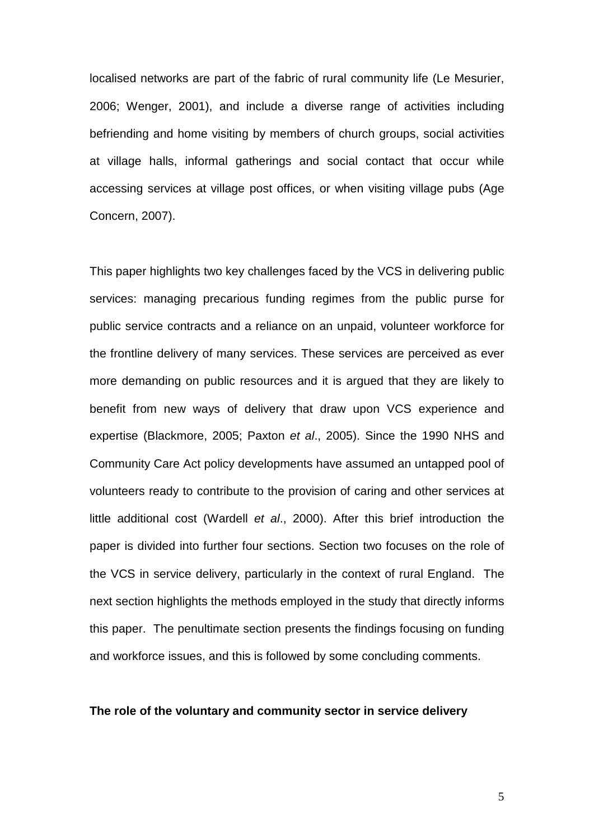localised networks are part of the fabric of rural community life (Le Mesurier, 2006; Wenger, 2001), and include a diverse range of activities including befriending and home visiting by members of church groups, social activities at village halls, informal gatherings and social contact that occur while accessing services at village post offices, or when visiting village pubs (Age Concern, 2007).

This paper highlights two key challenges faced by the VCS in delivering public services: managing precarious funding regimes from the public purse for public service contracts and a reliance on an unpaid, volunteer workforce for the frontline delivery of many services. These services are perceived as ever more demanding on public resources and it is argued that they are likely to benefit from new ways of delivery that draw upon VCS experience and expertise (Blackmore, 2005; Paxton *et al*., 2005). Since the 1990 NHS and Community Care Act policy developments have assumed an untapped pool of volunteers ready to contribute to the provision of caring and other services at little additional cost (Wardell *et al*., 2000). After this brief introduction the paper is divided into further four sections. Section two focuses on the role of the VCS in service delivery, particularly in the context of rural England. The next section highlights the methods employed in the study that directly informs this paper. The penultimate section presents the findings focusing on funding and workforce issues, and this is followed by some concluding comments.

### **The role of the voluntary and community sector in service delivery**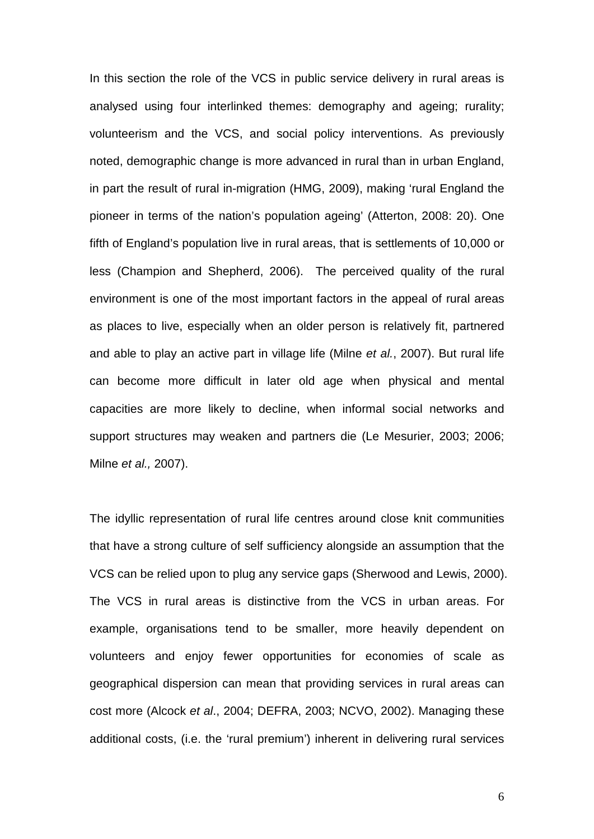In this section the role of the VCS in public service delivery in rural areas is analysed using four interlinked themes: demography and ageing; rurality; volunteerism and the VCS, and social policy interventions. As previously noted, demographic change is more advanced in rural than in urban England, in part the result of rural in-migration (HMG, 2009), making 'rural England the pioneer in terms of the nation's population ageing' (Atterton, 2008: 20). One fifth of England's population live in rural areas, that is settlements of 10,000 or less (Champion and Shepherd, 2006). The perceived quality of the rural environment is one of the most important factors in the appeal of rural areas as places to live, especially when an older person is relatively fit, partnered and able to play an active part in village life (Milne *et al.*, 2007). But rural life can become more difficult in later old age when physical and mental capacities are more likely to decline, when informal social networks and support structures may weaken and partners die (Le Mesurier, 2003; 2006; Milne *et al.,* 2007).

The idyllic representation of rural life centres around close knit communities that have a strong culture of self sufficiency alongside an assumption that the VCS can be relied upon to plug any service gaps (Sherwood and Lewis, 2000). The VCS in rural areas is distinctive from the VCS in urban areas. For example, organisations tend to be smaller, more heavily dependent on volunteers and enjoy fewer opportunities for economies of scale as geographical dispersion can mean that providing services in rural areas can cost more (Alcock *et al*., 2004; DEFRA, 2003; NCVO, 2002). Managing these additional costs, (i.e. the 'rural premium') inherent in delivering rural services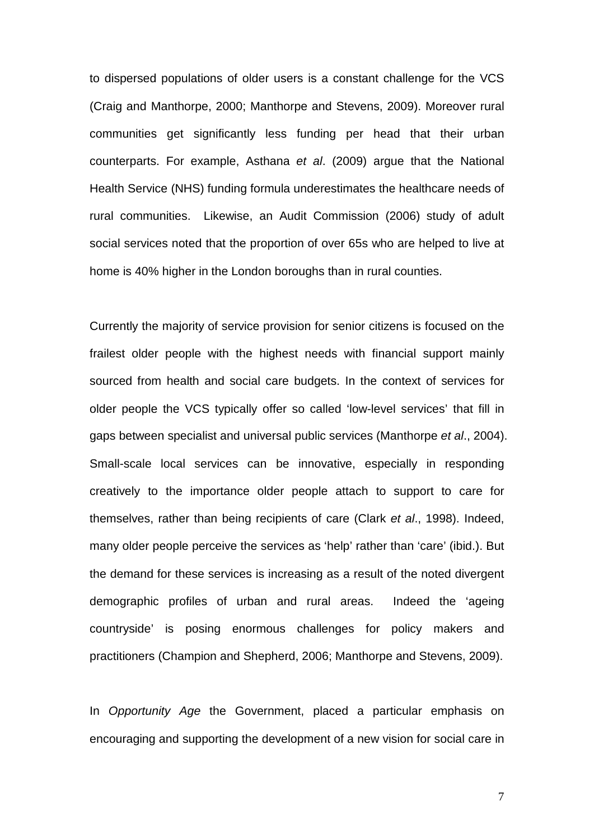to dispersed populations of older users is a constant challenge for the VCS (Craig and Manthorpe, 2000; Manthorpe and Stevens, 2009). Moreover rural communities get significantly less funding per head that their urban counterparts. For example, Asthana *et al*. (2009) argue that the National Health Service (NHS) funding formula underestimates the healthcare needs of rural communities. Likewise, an Audit Commission (2006) study of adult social services noted that the proportion of over 65s who are helped to live at home is 40% higher in the London boroughs than in rural counties.

Currently the majority of service provision for senior citizens is focused on the frailest older people with the highest needs with financial support mainly sourced from health and social care budgets. In the context of services for older people the VCS typically offer so called 'low-level services' that fill in gaps between specialist and universal public services (Manthorpe *et al*., 2004). Small-scale local services can be innovative, especially in responding creatively to the importance older people attach to support to care for themselves, rather than being recipients of care (Clark *et al*., 1998). Indeed, many older people perceive the services as 'help' rather than 'care' (ibid.). But the demand for these services is increasing as a result of the noted divergent demographic profiles of urban and rural areas. Indeed the 'ageing countryside' is posing enormous challenges for policy makers and practitioners (Champion and Shepherd, 2006; Manthorpe and Stevens, 2009).

In *Opportunity Age* the Government, placed a particular emphasis on encouraging and supporting the development of a new vision for social care in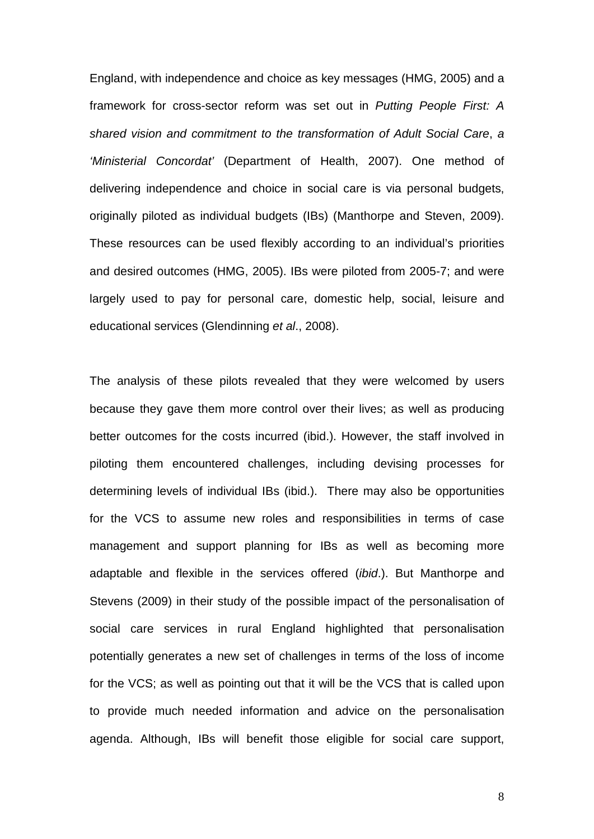England, with independence and choice as key messages (HMG, 2005) and a framework for cross-sector reform was set out in *Putting People First: A shared vision and commitment to the transformation of Adult Social Care*, *a 'Ministerial Concordat'* (Department of Health, 2007). One method of delivering independence and choice in social care is via personal budgets, originally piloted as individual budgets (IBs) (Manthorpe and Steven, 2009). These resources can be used flexibly according to an individual's priorities and desired outcomes (HMG, 2005). IBs were piloted from 2005-7; and were largely used to pay for personal care, domestic help, social, leisure and educational services (Glendinning *et al*., 2008).

The analysis of these pilots revealed that they were welcomed by users because they gave them more control over their lives; as well as producing better outcomes for the costs incurred (ibid.). However, the staff involved in piloting them encountered challenges, including devising processes for determining levels of individual IBs (ibid.). There may also be opportunities for the VCS to assume new roles and responsibilities in terms of case management and support planning for IBs as well as becoming more adaptable and flexible in the services offered (*ibid*.). But Manthorpe and Stevens (2009) in their study of the possible impact of the personalisation of social care services in rural England highlighted that personalisation potentially generates a new set of challenges in terms of the loss of income for the VCS; as well as pointing out that it will be the VCS that is called upon to provide much needed information and advice on the personalisation agenda. Although, IBs will benefit those eligible for social care support,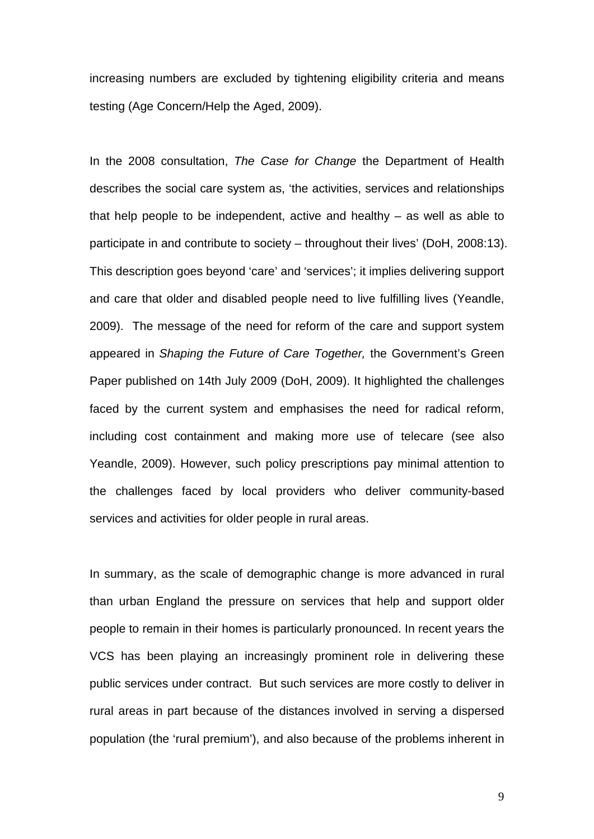increasing numbers are excluded by tightening eligibility criteria and means testing (Age Concern/Help the Aged, 2009).

In the 2008 consultation, *The Case for Change* the Department of Health describes the social care system as, 'the activities, services and relationships that help people to be independent, active and healthy – as well as able to participate in and contribute to society – throughout their lives' (DoH, 2008:13). This description goes beyond 'care' and 'services'; it implies delivering support and care that older and disabled people need to live fulfilling lives (Yeandle, 2009). The message of the need for reform of the care and support system appeared in *Shaping the Future of Care Together,* the Government's Green Paper published on 14th July 2009 (DoH, 2009). It highlighted the challenges faced by the current system and emphasises the need for radical reform, including cost containment and making more use of telecare (see also Yeandle, 2009). However, such policy prescriptions pay minimal attention to the challenges faced by local providers who deliver community-based services and activities for older people in rural areas.

In summary, as the scale of demographic change is more advanced in rural than urban England the pressure on services that help and support older people to remain in their homes is particularly pronounced. In recent years the VCS has been playing an increasingly prominent role in delivering these public services under contract. But such services are more costly to deliver in rural areas in part because of the distances involved in serving a dispersed population (the 'rural premium'), and also because of the problems inherent in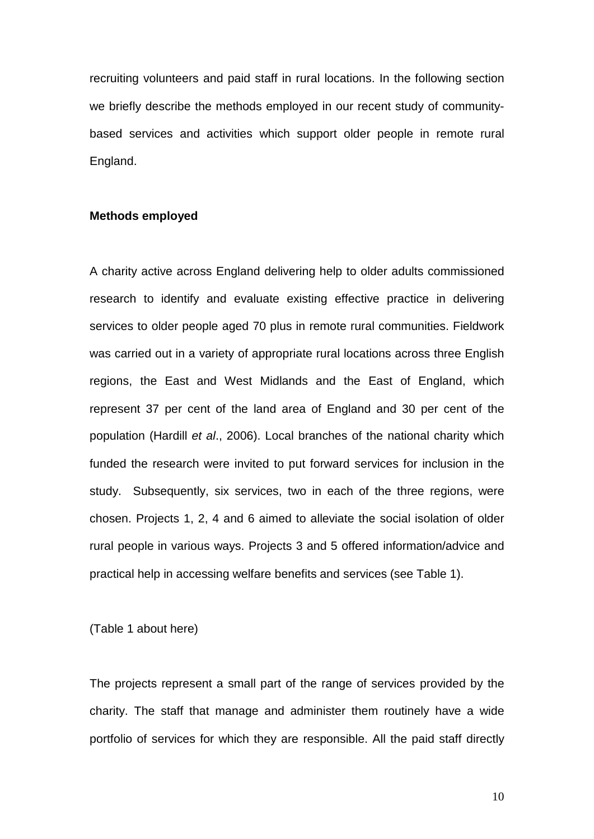recruiting volunteers and paid staff in rural locations. In the following section we briefly describe the methods employed in our recent study of communitybased services and activities which support older people in remote rural England.

### **Methods employed**

A charity active across England delivering help to older adults commissioned research to identify and evaluate existing effective practice in delivering services to older people aged 70 plus in remote rural communities. Fieldwork was carried out in a variety of appropriate rural locations across three English regions, the East and West Midlands and the East of England, which represent 37 per cent of the land area of England and 30 per cent of the population (Hardill *et al*., 2006). Local branches of the national charity which funded the research were invited to put forward services for inclusion in the study. Subsequently, six services, two in each of the three regions, were chosen. Projects 1, 2, 4 and 6 aimed to alleviate the social isolation of older rural people in various ways. Projects 3 and 5 offered information/advice and practical help in accessing welfare benefits and services (see Table 1).

(Table 1 about here)

The projects represent a small part of the range of services provided by the charity. The staff that manage and administer them routinely have a wide portfolio of services for which they are responsible. All the paid staff directly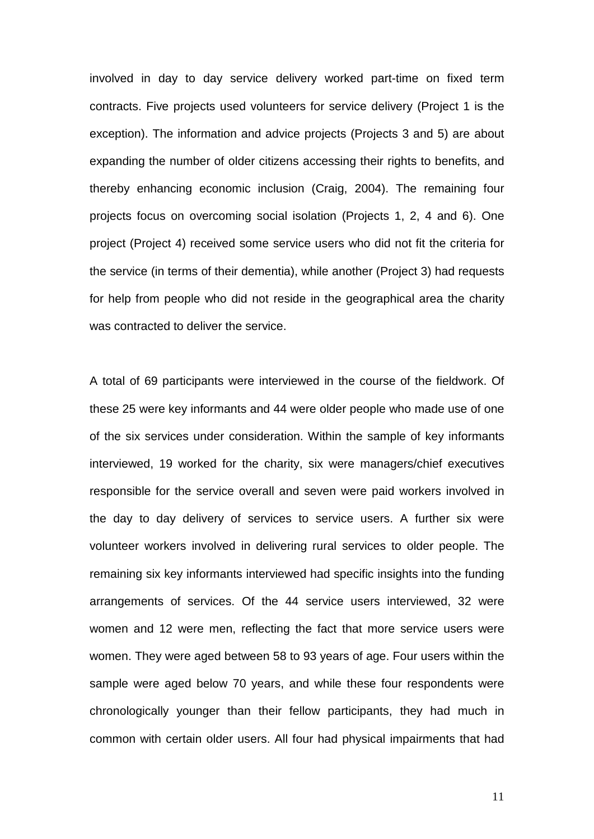involved in day to day service delivery worked part-time on fixed term contracts. Five projects used volunteers for service delivery (Project 1 is the exception). The information and advice projects (Projects 3 and 5) are about expanding the number of older citizens accessing their rights to benefits, and thereby enhancing economic inclusion (Craig, 2004). The remaining four projects focus on overcoming social isolation (Projects 1, 2, 4 and 6). One project (Project 4) received some service users who did not fit the criteria for the service (in terms of their dementia), while another (Project 3) had requests for help from people who did not reside in the geographical area the charity was contracted to deliver the service.

A total of 69 participants were interviewed in the course of the fieldwork. Of these 25 were key informants and 44 were older people who made use of one of the six services under consideration. Within the sample of key informants interviewed, 19 worked for the charity, six were managers/chief executives responsible for the service overall and seven were paid workers involved in the day to day delivery of services to service users. A further six were volunteer workers involved in delivering rural services to older people. The remaining six key informants interviewed had specific insights into the funding arrangements of services. Of the 44 service users interviewed, 32 were women and 12 were men, reflecting the fact that more service users were women. They were aged between 58 to 93 years of age. Four users within the sample were aged below 70 years, and while these four respondents were chronologically younger than their fellow participants, they had much in common with certain older users. All four had physical impairments that had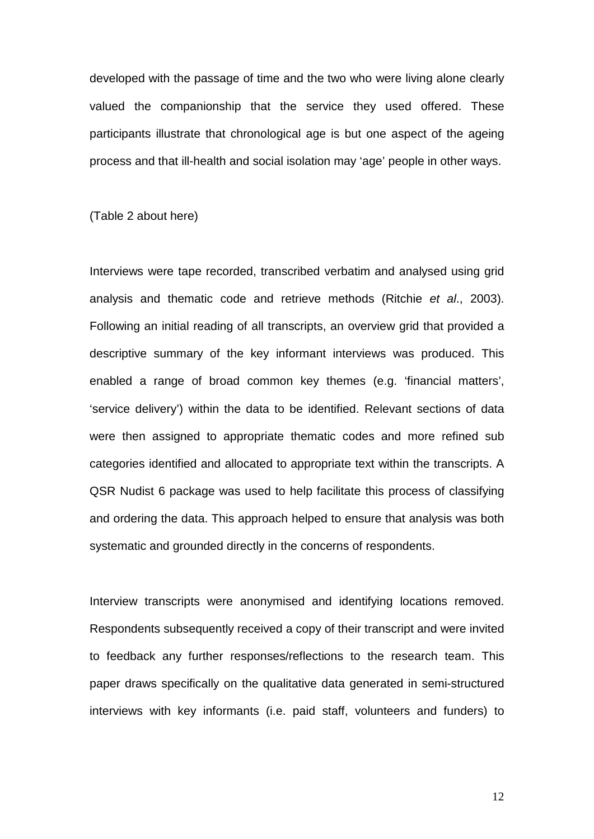developed with the passage of time and the two who were living alone clearly valued the companionship that the service they used offered. These participants illustrate that chronological age is but one aspect of the ageing process and that ill-health and social isolation may 'age' people in other ways.

(Table 2 about here)

Interviews were tape recorded, transcribed verbatim and analysed using grid analysis and thematic code and retrieve methods (Ritchie *et al*., 2003). Following an initial reading of all transcripts, an overview grid that provided a descriptive summary of the key informant interviews was produced. This enabled a range of broad common key themes (e.g. 'financial matters', 'service delivery') within the data to be identified. Relevant sections of data were then assigned to appropriate thematic codes and more refined sub categories identified and allocated to appropriate text within the transcripts. A QSR Nudist 6 package was used to help facilitate this process of classifying and ordering the data. This approach helped to ensure that analysis was both systematic and grounded directly in the concerns of respondents.

Interview transcripts were anonymised and identifying locations removed. Respondents subsequently received a copy of their transcript and were invited to feedback any further responses/reflections to the research team. This paper draws specifically on the qualitative data generated in semi-structured interviews with key informants (i.e. paid staff, volunteers and funders) to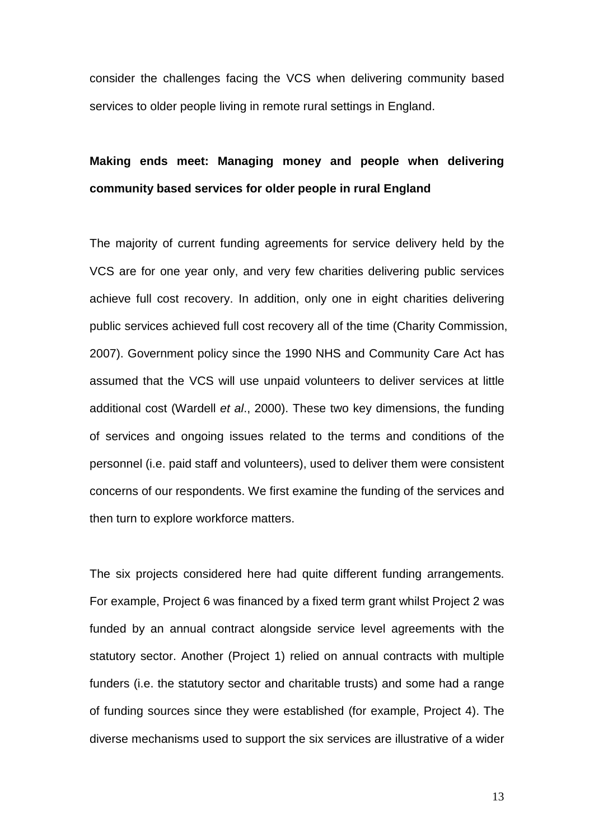consider the challenges facing the VCS when delivering community based services to older people living in remote rural settings in England.

## **Making ends meet: Managing money and people when delivering community based services for older people in rural England**

The majority of current funding agreements for service delivery held by the VCS are for one year only, and very few charities delivering public services achieve full cost recovery. In addition, only one in eight charities delivering public services achieved full cost recovery all of the time (Charity Commission, 2007). Government policy since the 1990 NHS and Community Care Act has assumed that the VCS will use unpaid volunteers to deliver services at little additional cost (Wardell *et al*., 2000). These two key dimensions, the funding of services and ongoing issues related to the terms and conditions of the personnel (i.e. paid staff and volunteers), used to deliver them were consistent concerns of our respondents. We first examine the funding of the services and then turn to explore workforce matters.

The six projects considered here had quite different funding arrangements. For example, Project 6 was financed by a fixed term grant whilst Project 2 was funded by an annual contract alongside service level agreements with the statutory sector. Another (Project 1) relied on annual contracts with multiple funders (i.e. the statutory sector and charitable trusts) and some had a range of funding sources since they were established (for example, Project 4). The diverse mechanisms used to support the six services are illustrative of a wider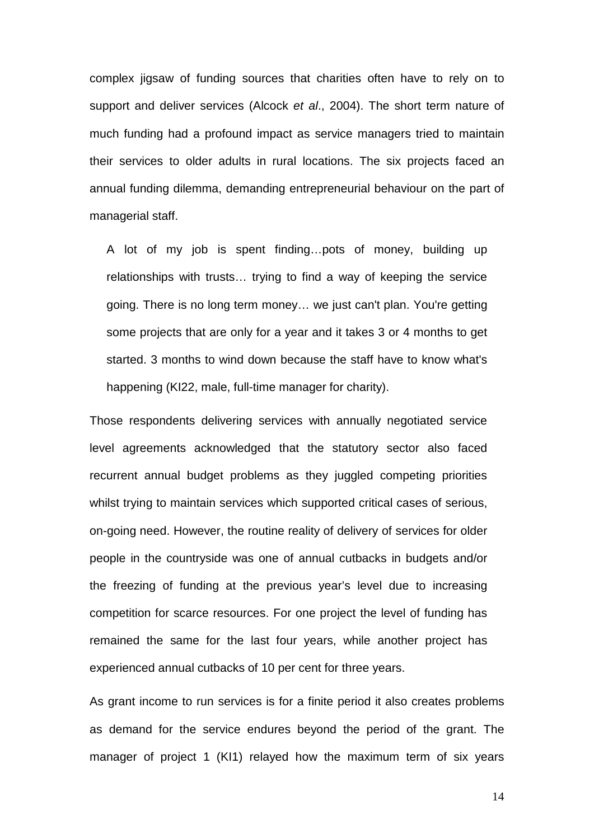complex jigsaw of funding sources that charities often have to rely on to support and deliver services (Alcock *et al*., 2004). The short term nature of much funding had a profound impact as service managers tried to maintain their services to older adults in rural locations. The six projects faced an annual funding dilemma, demanding entrepreneurial behaviour on the part of managerial staff.

A lot of my job is spent finding…pots of money, building up relationships with trusts… trying to find a way of keeping the service going. There is no long term money… we just can't plan. You're getting some projects that are only for a year and it takes 3 or 4 months to get started. 3 months to wind down because the staff have to know what's happening (KI22, male, full-time manager for charity).

Those respondents delivering services with annually negotiated service level agreements acknowledged that the statutory sector also faced recurrent annual budget problems as they juggled competing priorities whilst trying to maintain services which supported critical cases of serious, on-going need. However, the routine reality of delivery of services for older people in the countryside was one of annual cutbacks in budgets and/or the freezing of funding at the previous year's level due to increasing competition for scarce resources. For one project the level of funding has remained the same for the last four years, while another project has experienced annual cutbacks of 10 per cent for three years.

As grant income to run services is for a finite period it also creates problems as demand for the service endures beyond the period of the grant. The manager of project 1 (KI1) relayed how the maximum term of six years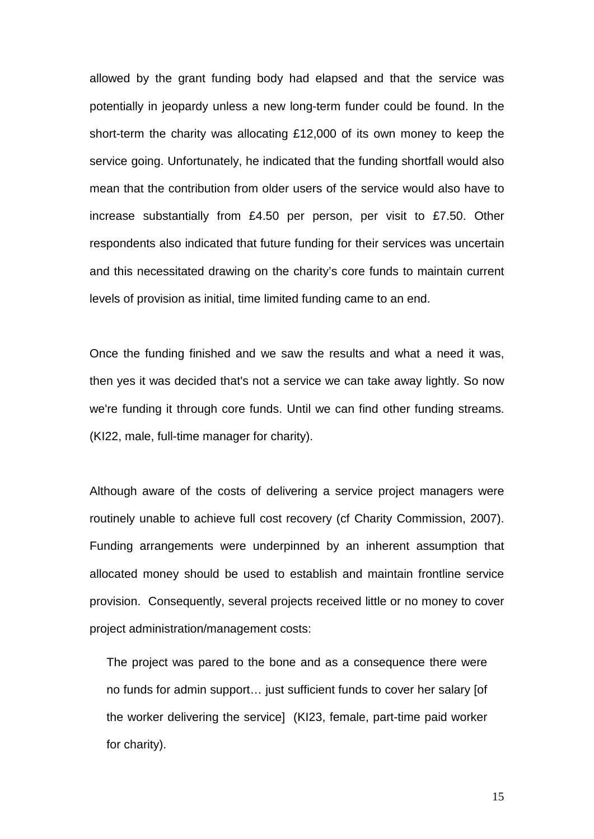allowed by the grant funding body had elapsed and that the service was potentially in jeopardy unless a new long-term funder could be found. In the short-term the charity was allocating £12,000 of its own money to keep the service going. Unfortunately, he indicated that the funding shortfall would also mean that the contribution from older users of the service would also have to increase substantially from £4.50 per person, per visit to £7.50. Other respondents also indicated that future funding for their services was uncertain and this necessitated drawing on the charity's core funds to maintain current levels of provision as initial, time limited funding came to an end.

Once the funding finished and we saw the results and what a need it was, then yes it was decided that's not a service we can take away lightly. So now we're funding it through core funds. Until we can find other funding streams. (KI22, male, full-time manager for charity).

Although aware of the costs of delivering a service project managers were routinely unable to achieve full cost recovery (cf Charity Commission, 2007). Funding arrangements were underpinned by an inherent assumption that allocated money should be used to establish and maintain frontline service provision. Consequently, several projects received little or no money to cover project administration/management costs:

The project was pared to the bone and as a consequence there were no funds for admin support… just sufficient funds to cover her salary [of the worker delivering the service] (KI23, female, part-time paid worker for charity).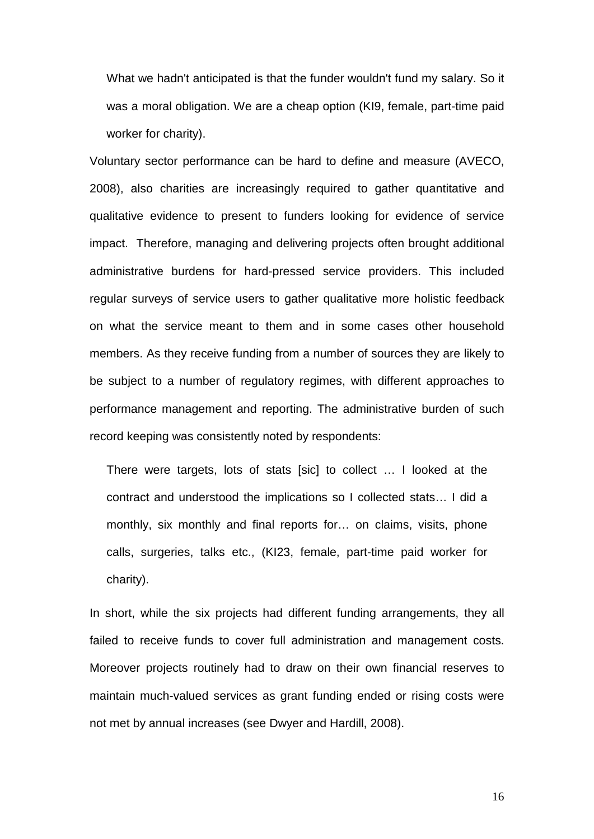What we hadn't anticipated is that the funder wouldn't fund my salary. So it was a moral obligation. We are a cheap option (KI9, female, part-time paid worker for charity).

Voluntary sector performance can be hard to define and measure (AVECO, 2008), also charities are increasingly required to gather quantitative and qualitative evidence to present to funders looking for evidence of service impact. Therefore, managing and delivering projects often brought additional administrative burdens for hard-pressed service providers. This included regular surveys of service users to gather qualitative more holistic feedback on what the service meant to them and in some cases other household members. As they receive funding from a number of sources they are likely to be subject to a number of regulatory regimes, with different approaches to performance management and reporting. The administrative burden of such record keeping was consistently noted by respondents:

There were targets, lots of stats [sic] to collect … I looked at the contract and understood the implications so I collected stats… I did a monthly, six monthly and final reports for… on claims, visits, phone calls, surgeries, talks etc., (KI23, female, part-time paid worker for charity).

In short, while the six projects had different funding arrangements, they all failed to receive funds to cover full administration and management costs. Moreover projects routinely had to draw on their own financial reserves to maintain much-valued services as grant funding ended or rising costs were not met by annual increases (see Dwyer and Hardill, 2008).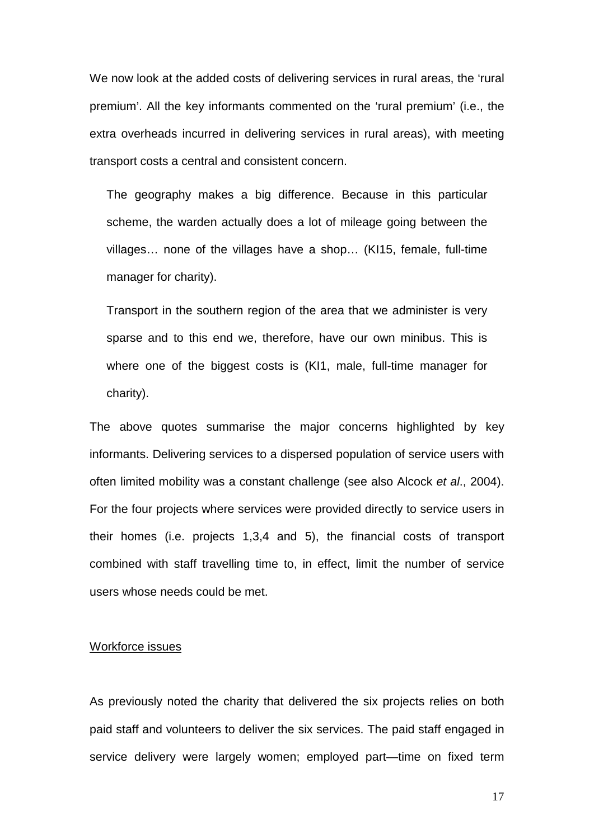We now look at the added costs of delivering services in rural areas, the 'rural premium'. All the key informants commented on the 'rural premium' (i.e., the extra overheads incurred in delivering services in rural areas), with meeting transport costs a central and consistent concern.

The geography makes a big difference. Because in this particular scheme, the warden actually does a lot of mileage going between the villages… none of the villages have a shop… (KI15, female, full-time manager for charity).

Transport in the southern region of the area that we administer is very sparse and to this end we, therefore, have our own minibus. This is where one of the biggest costs is (KI1, male, full-time manager for charity).

The above quotes summarise the major concerns highlighted by key informants. Delivering services to a dispersed population of service users with often limited mobility was a constant challenge (see also Alcock *et al*., 2004). For the four projects where services were provided directly to service users in their homes (i.e. projects 1,3,4 and 5), the financial costs of transport combined with staff travelling time to, in effect, limit the number of service users whose needs could be met.

#### Workforce issues

As previously noted the charity that delivered the six projects relies on both paid staff and volunteers to deliver the six services. The paid staff engaged in service delivery were largely women; employed part—time on fixed term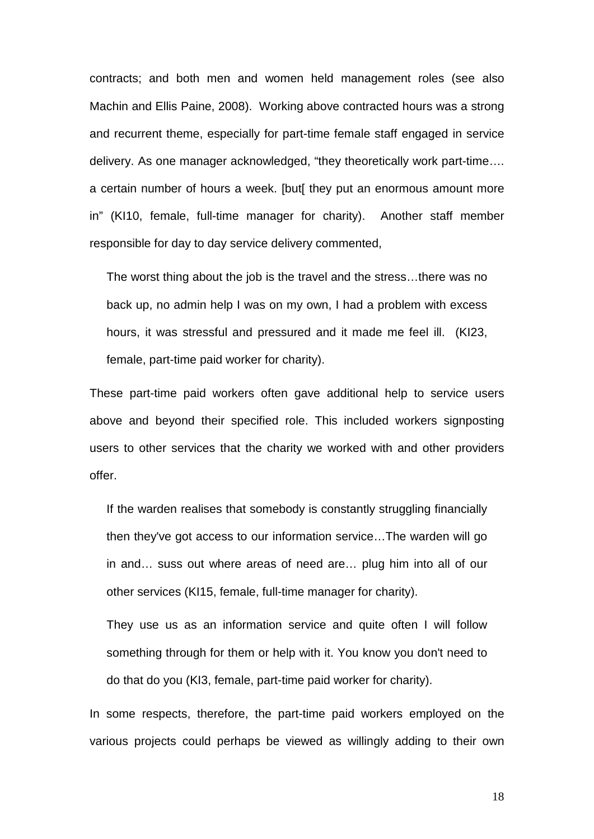contracts; and both men and women held management roles (see also Machin and Ellis Paine, 2008). Working above contracted hours was a strong and recurrent theme, especially for part-time female staff engaged in service delivery. As one manager acknowledged, "they theoretically work part-time…. a certain number of hours a week. [but[ they put an enormous amount more in" (KI10, female, full-time manager for charity). Another staff member responsible for day to day service delivery commented,

The worst thing about the job is the travel and the stress…there was no back up, no admin help I was on my own, I had a problem with excess hours, it was stressful and pressured and it made me feel ill. (KI23, female, part-time paid worker for charity).

These part-time paid workers often gave additional help to service users above and beyond their specified role. This included workers signposting users to other services that the charity we worked with and other providers offer.

If the warden realises that somebody is constantly struggling financially then they've got access to our information service…The warden will go in and… suss out where areas of need are… plug him into all of our other services (KI15, female, full-time manager for charity).

They use us as an information service and quite often I will follow something through for them or help with it. You know you don't need to do that do you (KI3, female, part-time paid worker for charity).

In some respects, therefore, the part-time paid workers employed on the various projects could perhaps be viewed as willingly adding to their own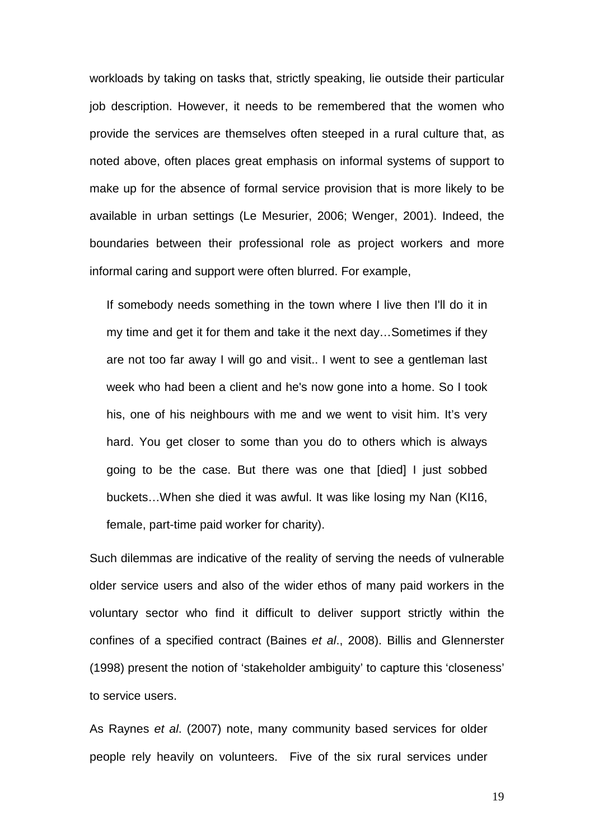workloads by taking on tasks that, strictly speaking, lie outside their particular job description. However, it needs to be remembered that the women who provide the services are themselves often steeped in a rural culture that, as noted above, often places great emphasis on informal systems of support to make up for the absence of formal service provision that is more likely to be available in urban settings (Le Mesurier, 2006; Wenger, 2001). Indeed, the boundaries between their professional role as project workers and more informal caring and support were often blurred. For example,

If somebody needs something in the town where I live then I'll do it in my time and get it for them and take it the next day…Sometimes if they are not too far away I will go and visit.. I went to see a gentleman last week who had been a client and he's now gone into a home. So I took his, one of his neighbours with me and we went to visit him. It's very hard. You get closer to some than you do to others which is always going to be the case. But there was one that [died] I just sobbed buckets…When she died it was awful. It was like losing my Nan (KI16, female, part-time paid worker for charity).

Such dilemmas are indicative of the reality of serving the needs of vulnerable older service users and also of the wider ethos of many paid workers in the voluntary sector who find it difficult to deliver support strictly within the confines of a specified contract (Baines *et al*., 2008). Billis and Glennerster (1998) present the notion of 'stakeholder ambiguity' to capture this 'closeness' to service users.

As Raynes *et al*. (2007) note, many community based services for older people rely heavily on volunteers. Five of the six rural services under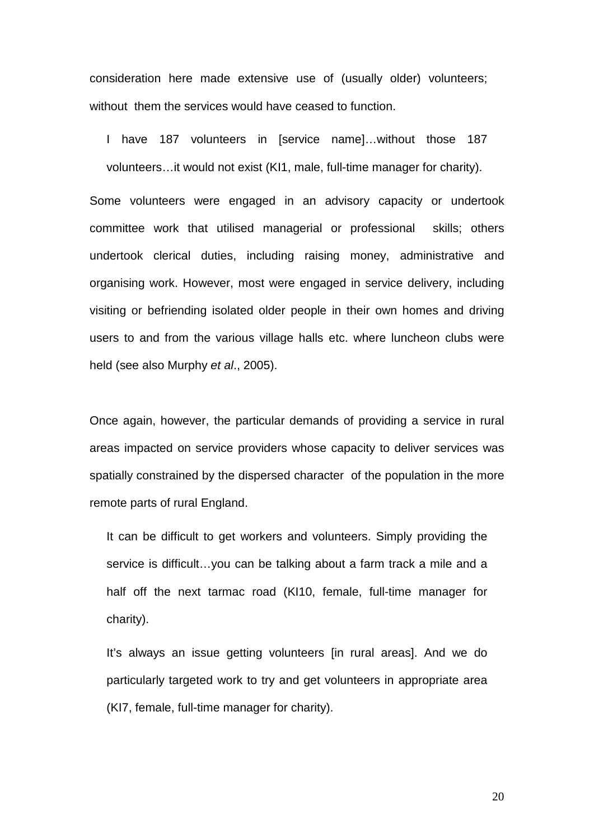consideration here made extensive use of (usually older) volunteers; without them the services would have ceased to function.

I have 187 volunteers in [service name]…without those 187 volunteers…it would not exist (KI1, male, full-time manager for charity).

Some volunteers were engaged in an advisory capacity or undertook committee work that utilised managerial or professional skills; others undertook clerical duties, including raising money, administrative and organising work. However, most were engaged in service delivery, including visiting or befriending isolated older people in their own homes and driving users to and from the various village halls etc. where luncheon clubs were held (see also Murphy *et al*., 2005).

Once again, however, the particular demands of providing a service in rural areas impacted on service providers whose capacity to deliver services was spatially constrained by the dispersed character of the population in the more remote parts of rural England.

It can be difficult to get workers and volunteers. Simply providing the service is difficult…you can be talking about a farm track a mile and a half off the next tarmac road (KI10, female, full-time manager for charity).

It's always an issue getting volunteers [in rural areas]. And we do particularly targeted work to try and get volunteers in appropriate area (KI7, female, full-time manager for charity).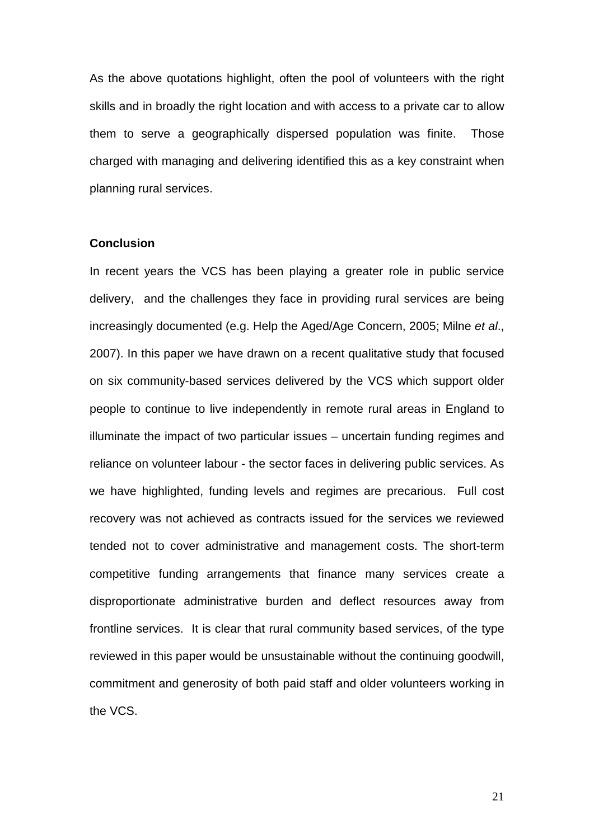As the above quotations highlight, often the pool of volunteers with the right skills and in broadly the right location and with access to a private car to allow them to serve a geographically dispersed population was finite. Those charged with managing and delivering identified this as a key constraint when planning rural services.

### **Conclusion**

In recent years the VCS has been playing a greater role in public service delivery, and the challenges they face in providing rural services are being increasingly documented (e.g. Help the Aged/Age Concern, 2005; Milne *et al*., 2007). In this paper we have drawn on a recent qualitative study that focused on six community-based services delivered by the VCS which support older people to continue to live independently in remote rural areas in England to illuminate the impact of two particular issues – uncertain funding regimes and reliance on volunteer labour - the sector faces in delivering public services. As we have highlighted, funding levels and regimes are precarious. Full cost recovery was not achieved as contracts issued for the services we reviewed tended not to cover administrative and management costs. The short-term competitive funding arrangements that finance many services create a disproportionate administrative burden and deflect resources away from frontline services. It is clear that rural community based services, of the type reviewed in this paper would be unsustainable without the continuing goodwill, commitment and generosity of both paid staff and older volunteers working in the VCS.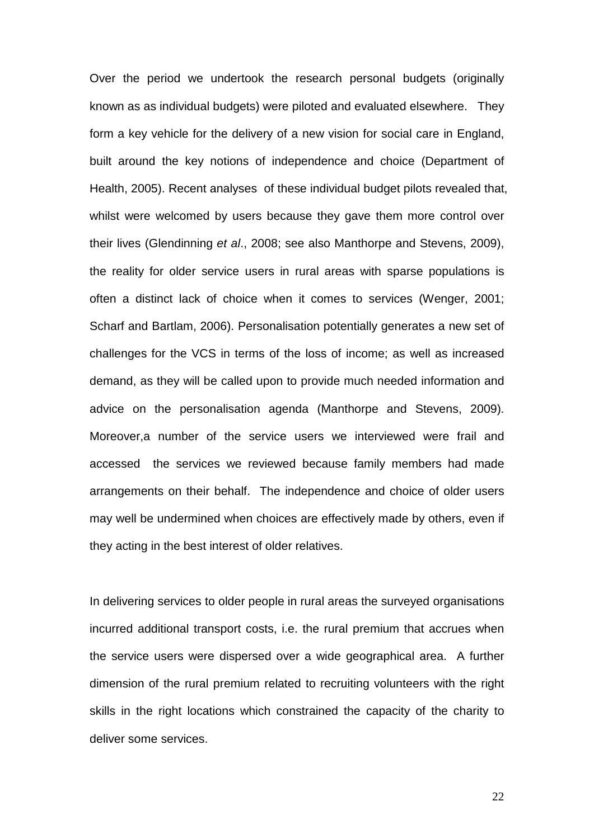Over the period we undertook the research personal budgets (originally known as as individual budgets) were piloted and evaluated elsewhere. They form a key vehicle for the delivery of a new vision for social care in England, built around the key notions of independence and choice (Department of Health, 2005). Recent analyses of these individual budget pilots revealed that, whilst were welcomed by users because they gave them more control over their lives (Glendinning *et al*., 2008; see also Manthorpe and Stevens, 2009), the reality for older service users in rural areas with sparse populations is often a distinct lack of choice when it comes to services (Wenger, 2001; Scharf and Bartlam, 2006). Personalisation potentially generates a new set of challenges for the VCS in terms of the loss of income; as well as increased demand, as they will be called upon to provide much needed information and advice on the personalisation agenda (Manthorpe and Stevens, 2009). Moreover,a number of the service users we interviewed were frail and accessed the services we reviewed because family members had made arrangements on their behalf. The independence and choice of older users may well be undermined when choices are effectively made by others, even if they acting in the best interest of older relatives.

In delivering services to older people in rural areas the surveyed organisations incurred additional transport costs, i.e. the rural premium that accrues when the service users were dispersed over a wide geographical area. A further dimension of the rural premium related to recruiting volunteers with the right skills in the right locations which constrained the capacity of the charity to deliver some services.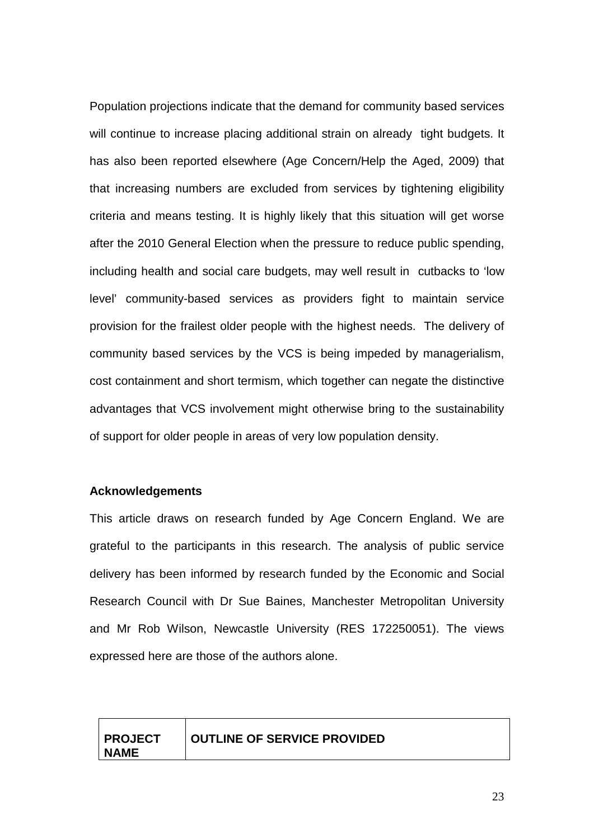Population projections indicate that the demand for community based services will continue to increase placing additional strain on already tight budgets. It has also been reported elsewhere (Age Concern/Help the Aged, 2009) that that increasing numbers are excluded from services by tightening eligibility criteria and means testing. It is highly likely that this situation will get worse after the 2010 General Election when the pressure to reduce public spending, including health and social care budgets, may well result in cutbacks to 'low level' community-based services as providers fight to maintain service provision for the frailest older people with the highest needs. The delivery of community based services by the VCS is being impeded by managerialism, cost containment and short termism, which together can negate the distinctive advantages that VCS involvement might otherwise bring to the sustainability of support for older people in areas of very low population density.

### **Acknowledgements**

This article draws on research funded by Age Concern England. We are grateful to the participants in this research. The analysis of public service delivery has been informed by research funded by the Economic and Social Research Council with Dr Sue Baines, Manchester Metropolitan University and Mr Rob Wilson, Newcastle University (RES 172250051). The views expressed here are those of the authors alone.

| <b>PROJECT</b> | <b>OUTLINE OF SERVICE PROVIDED</b> |
|----------------|------------------------------------|
| <b>NAME</b>    |                                    |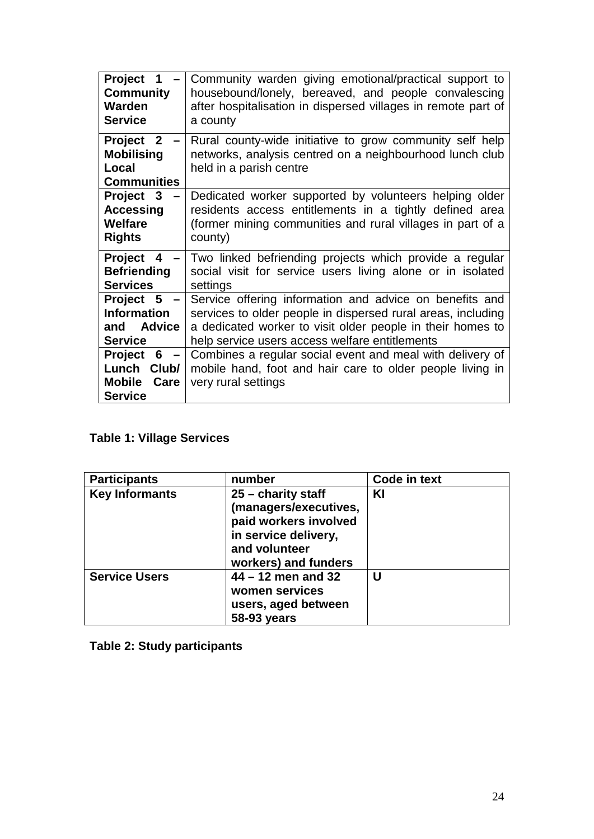| <b>Project</b><br>1<br><b>Community</b><br>Warden<br><b>Service</b>                                 | Community warden giving emotional/practical support to<br>housebound/lonely, bereaved, and people convalescing<br>after hospitalisation in dispersed villages in remote part of<br>a county                                             |
|-----------------------------------------------------------------------------------------------------|-----------------------------------------------------------------------------------------------------------------------------------------------------------------------------------------------------------------------------------------|
| <b>Project</b><br>$\overline{2}$<br><b>Mobilising</b><br>Local<br><b>Communities</b>                | Rural county-wide initiative to grow community self help<br>networks, analysis centred on a neighbourhood lunch club<br>held in a parish centre                                                                                         |
| Project 3<br><b>Accessing</b><br><b>Welfare</b><br><b>Rights</b>                                    | Dedicated worker supported by volunteers helping older<br>residents access entitlements in a tightly defined area<br>(former mining communities and rural villages in part of a<br>county)                                              |
| <b>Project</b><br>$\overline{\mathbf{4}}$<br><b>Befriending</b><br><b>Services</b>                  | Two linked befriending projects which provide a regular<br>social visit for service users living alone or in isolated<br>settings                                                                                                       |
| Project 5<br><b>Information</b><br><b>Advice</b><br>and<br><b>Service</b>                           | Service offering information and advice on benefits and<br>services to older people in dispersed rural areas, including<br>a dedicated worker to visit older people in their homes to<br>help service users access welfare entitlements |
| 6<br><b>Project</b><br>$\qquad \qquad$<br>Lunch<br>Club/<br><b>Mobile</b><br>Care<br><b>Service</b> | Combines a regular social event and meal with delivery of<br>mobile hand, foot and hair care to older people living in<br>very rural settings                                                                                           |

### **Table 1: Village Services**

| <b>Participants</b>   | number                                                                                                                                  | Code in text |
|-----------------------|-----------------------------------------------------------------------------------------------------------------------------------------|--------------|
| <b>Key Informants</b> | $25 -$ charity staff<br>(managers/executives,<br>paid workers involved<br>in service delivery,<br>and volunteer<br>workers) and funders | KI           |
| <b>Service Users</b>  | $44 - 12$ men and 32<br>women services<br>users, aged between<br>58-93 years                                                            | U            |

**Table 2: Study participants**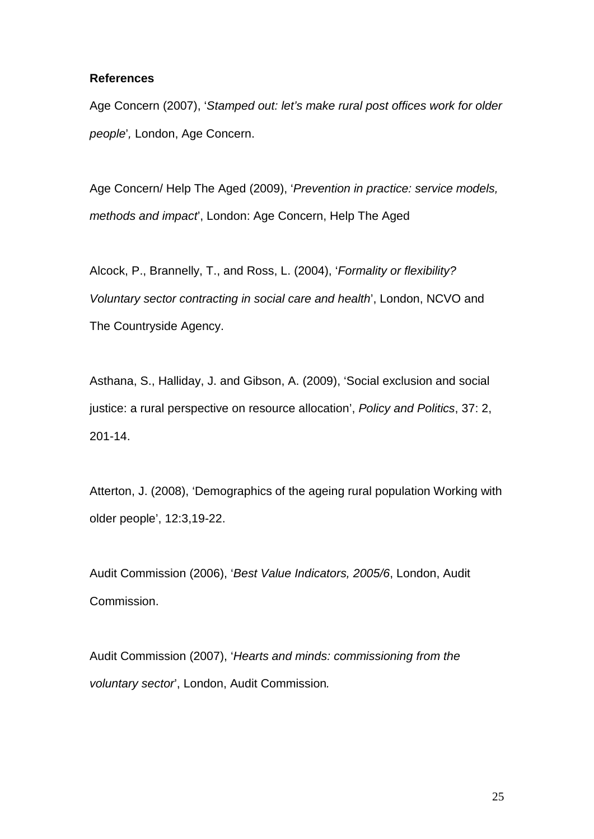### **References**

Age Concern (2007), '*Stamped out: let's make rural post offices work for older people*'*,* London, Age Concern.

Age Concern/ Help The Aged (2009), '*Prevention in practice: service models, methods and impact*', London: Age Concern, Help The Aged

Alcock, P., Brannelly, T., and Ross, L. (2004), '*Formality or flexibility? Voluntary sector contracting in social care and health*', London, NCVO and The Countryside Agency.

Asthana, S., Halliday, J. and Gibson, A. (2009), 'Social exclusion and social justice: a rural perspective on resource allocation', *Policy and Politics*, 37: 2, 201-14.

Atterton, J. (2008), 'Demographics of the ageing rural population Working with older people', 12:3,19-22.

Audit Commission (2006), '*Best Value Indicators, 2005/6*, London, Audit Commission.

Audit Commission (2007), '*Hearts and minds: commissioning from the voluntary sector*', London, Audit Commission*.*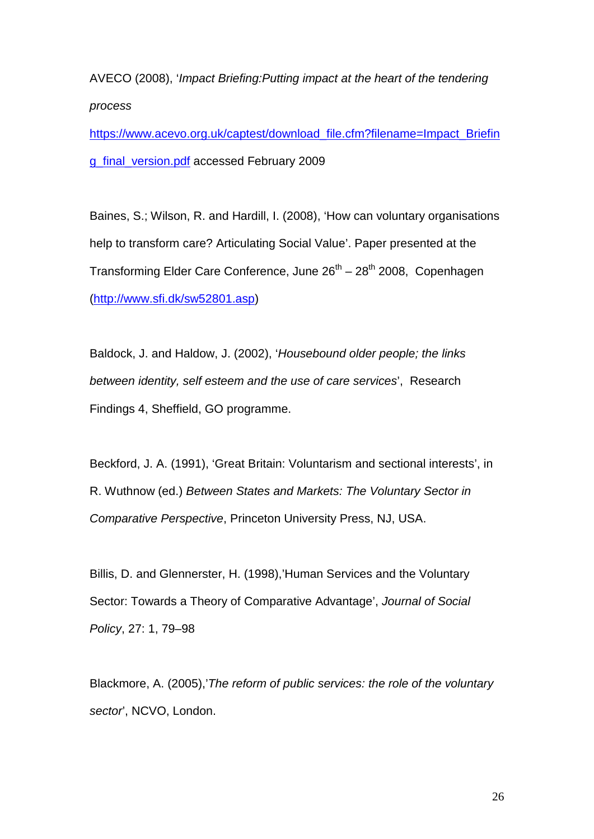AVECO (2008), '*Impact Briefing:Putting impact at the heart of the tendering process*

[https://www.acevo.org.uk/captest/download\\_file.cfm?filename=Impact\\_Briefin](https://www.acevo.org.uk/captest/download_file.cfm?filename=Impact_Briefing_final_version.pdf) [g\\_final\\_version.pdf](https://www.acevo.org.uk/captest/download_file.cfm?filename=Impact_Briefing_final_version.pdf) accessed February 2009

Baines, S.; Wilson, R. and Hardill, I. (2008), 'How can voluntary organisations help to transform care? Articulating Social Value'. Paper presented at the Transforming Elder Care Conference, June  $26<sup>th</sup> - 28<sup>th</sup>$  2008, Copenhagen [\(http://www.sfi.dk/sw52801.asp\)](http://www.sfi.dk/sw52801.asp)

Baldock, J. and Haldow, J. (2002), '*Housebound older people; the links between identity, self esteem and the use of care services*', Research Findings 4, Sheffield, GO programme.

Beckford, J. A. (1991), 'Great Britain: Voluntarism and sectional interests', in R. Wuthnow (ed.) *Between States and Markets: The Voluntary Sector in Comparative Perspective*, Princeton University Press, NJ, USA.

Billis, D. and Glennerster, H. (1998),'Human Services and the Voluntary Sector: Towards a Theory of Comparative Advantage', *Journal of Social Policy*, 27: 1, 79–98

Blackmore, A. (2005),'*The reform of public services: the role of the voluntary sector*', NCVO, London.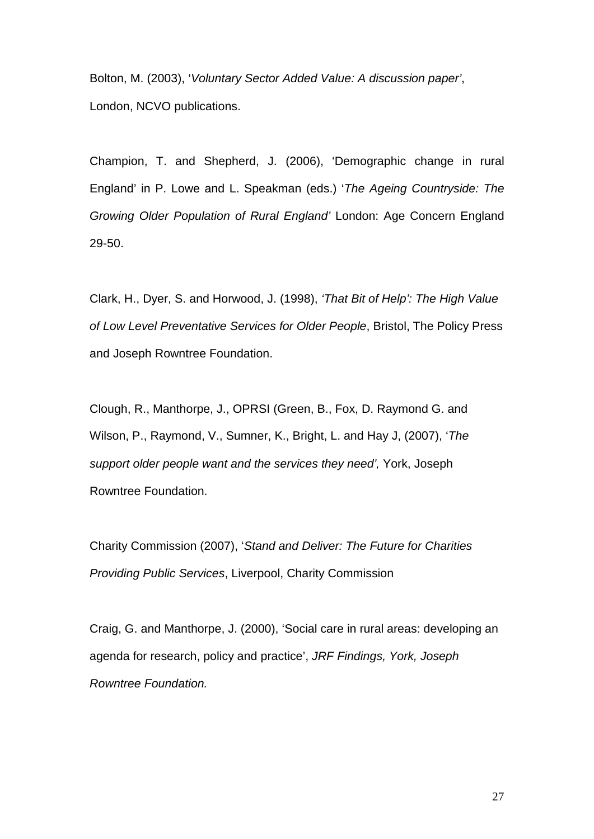Bolton, M. (2003), '*Voluntary Sector Added Value: A discussion paper'*, London, NCVO publications.

Champion, T. and Shepherd, J. (2006), 'Demographic change in rural England' in P. Lowe and L. Speakman (eds.) '*The Ageing Countryside: The Growing Older Population of Rural England'* London: Age Concern England 29-50.

Clark, H., Dyer, S. and Horwood, J. (1998), *'That Bit of Help': The High Value of Low Level Preventative Services for Older People*, Bristol, The Policy Press and Joseph Rowntree Foundation.

Clough, R., Manthorpe, J., OPRSI (Green, B., Fox, D. Raymond G. and Wilson, P., Raymond, V., Sumner, K., Bright, L. and Hay J, (2007), '*The support older people want and the services they need',* York, Joseph Rowntree Foundation.

Charity Commission (2007), '*Stand and Deliver: The Future for Charities Providing Public Services*, Liverpool, Charity Commission

Craig, G. and Manthorpe, J. (2000), 'Social care in rural areas: developing an agenda for research, policy and practice', *JRF Findings, York, Joseph Rowntree Foundation.*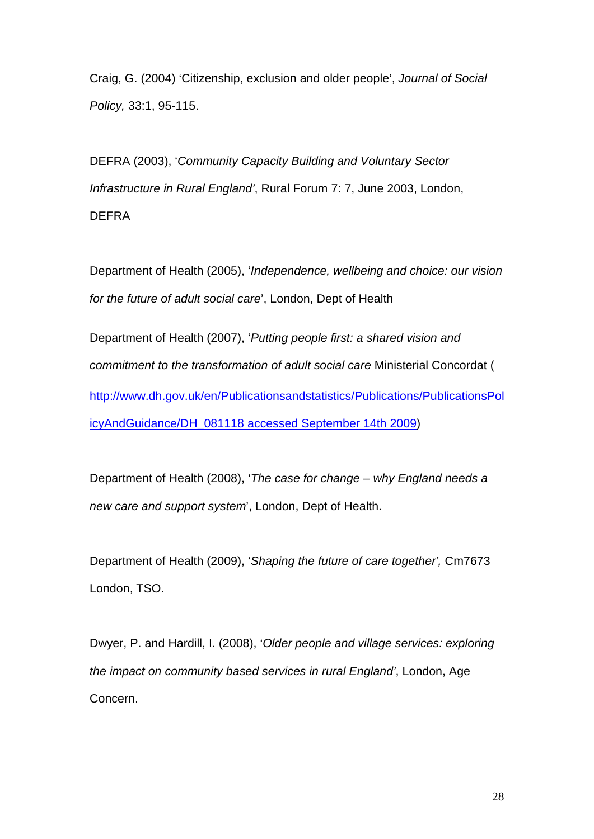Craig, G. (2004) 'Citizenship, exclusion and older people', *Journal of Social Policy,* 33:1, 95-115.

DEFRA (2003), '*Community Capacity Building and Voluntary Sector Infrastructure in Rural England'*, Rural Forum 7: 7, June 2003, London, DEFRA

Department of Health (2005), '*Independence, wellbeing and choice: our vision for the future of adult social care*', London, Dept of Health

Department of Health (2007), '*Putting people first: a shared vision and commitment to the transformation of adult social care* Ministerial Concordat ( [http://www.dh.gov.uk/en/Publicationsandstatistics/Publications/PublicationsPol](http://www.dh.gov.uk/en/Publicationsandstatistics/Publications/PublicationsPolicyAndGuidance/DH_081118%20accessed%20September%2014th%202009) [icyAndGuidance/DH\\_081118 accessed September 14th 2009\)](http://www.dh.gov.uk/en/Publicationsandstatistics/Publications/PublicationsPolicyAndGuidance/DH_081118%20accessed%20September%2014th%202009)

Department of Health (2008), '*The case for change – why England needs a new care and support system*', London, Dept of Health.

Department of Health (2009), '*Shaping the future of care together',* Cm7673 London, TSO.

Dwyer, P. and Hardill, I. (2008), '*Older people and village services: exploring the impact on community based services in rural England'*, London, Age Concern.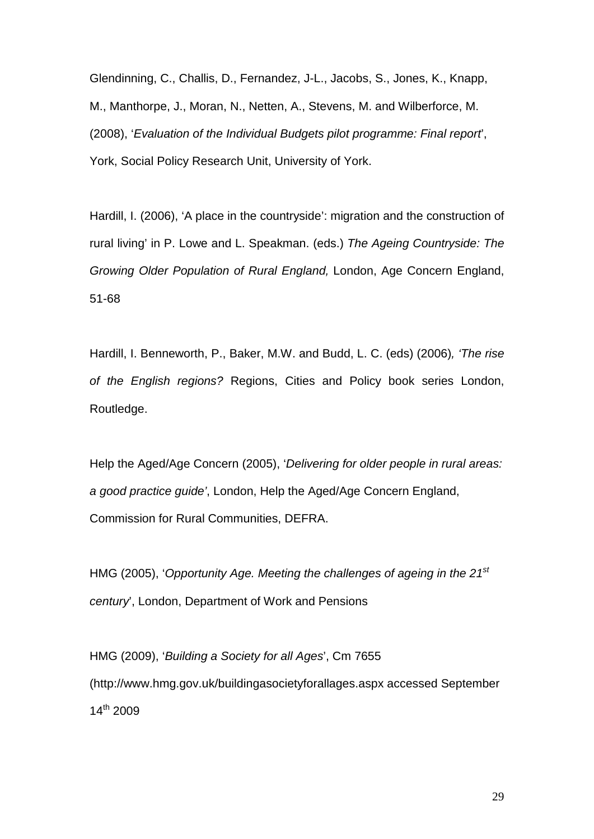Glendinning, C., Challis, D., Fernandez, J-L., Jacobs, S., Jones, K., Knapp, M., Manthorpe, J., Moran, N., Netten, A., Stevens, M. and Wilberforce, M. (2008), '*Evaluation of the Individual Budgets pilot programme: Final report*', York, Social Policy Research Unit, University of York.

Hardill, I. (2006), 'A place in the countryside': migration and the construction of rural living' in P. Lowe and L. Speakman. (eds.) *The Ageing Countryside: The Growing Older Population of Rural England,* London, Age Concern England, 51-68

Hardill, I. Benneworth, P., Baker, M.W. and Budd, L. C. (eds) (2006)*, 'The rise of the English regions?* Regions, Cities and Policy book series London, Routledge.

Help the Aged/Age Concern (2005), '*Delivering for older people in rural areas: a good practice guide'*, London, Help the Aged/Age Concern England, Commission for Rural Communities, DEFRA.

HMG (2005), '*Opportunity Age. Meeting the challenges of ageing in the 21st century*', London, Department of Work and Pensions

HMG (2009), '*Building a Society for all Ages*', Cm 7655 (http://www.hmg.gov.uk/buildingasocietyforallages.aspx accessed September  $14^{th}$  2009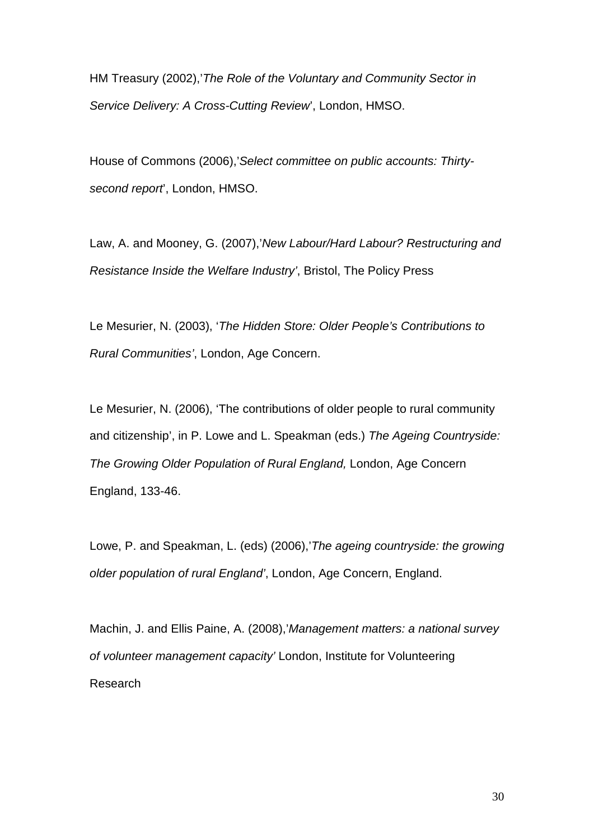HM Treasury (2002),'*The Role of the Voluntary and Community Sector in Service Delivery: A Cross-Cutting Review*', London, HMSO.

House of Commons (2006),'*Select committee on public accounts: Thirtysecond report*', London, HMSO.

Law, A. and Mooney, G. (2007),'*New Labour/Hard Labour? Restructuring and Resistance Inside the Welfare Industry'*, Bristol, The Policy Press

Le Mesurier, N. (2003), '*The Hidden Store: Older People's Contributions to Rural Communities'*, London, Age Concern.

Le Mesurier, N. (2006), 'The contributions of older people to rural community and citizenship', in P. Lowe and L. Speakman (eds.) *The Ageing Countryside: The Growing Older Population of Rural England,* London, Age Concern England, 133-46.

Lowe, P. and Speakman, L. (eds) (2006),'*The ageing countryside: the growing older population of rural England'*, London, Age Concern, England.

Machin, J. and Ellis Paine, A. (2008),'*Management matters: a national survey of volunteer management capacity'* London, Institute for Volunteering Research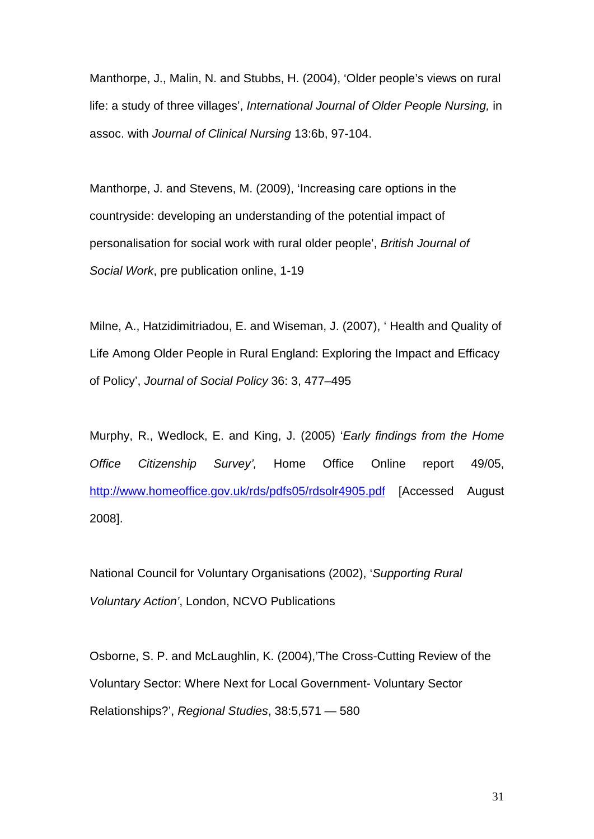Manthorpe, J., Malin, N. and Stubbs, H. (2004), 'Older people's views on rural life: a study of three villages', *International Journal of Older People Nursing,* in assoc. with *Journal of Clinical Nursing* 13:6b, 97-104.

Manthorpe, J. and Stevens, M. (2009), 'Increasing care options in the countryside: developing an understanding of the potential impact of personalisation for social work with rural older people', *British Journal of Social Work*, pre publication online, 1-19

Milne, A., Hatzidimitriadou, E. and Wiseman, J. (2007), ' Health and Quality of Life Among Older People in Rural England: Exploring the Impact and Efficacy of Policy', *Journal of Social Policy* 36: 3, 477–495

Murphy, R., Wedlock, E. and King, J. (2005) '*Early findings from the Home Office Citizenship Survey',* Home Office Online report 49/05, <http://www.homeoffice.gov.uk/rds/pdfs05/rdsolr4905.pdf> [Accessed August 2008].

National Council for Voluntary Organisations (2002), '*Supporting Rural Voluntary Action'*, London, NCVO Publications

Osborne, S. P. and McLaughlin, K. (2004),'The Cross-Cutting Review of the Voluntary Sector: Where Next for Local Government- Voluntary Sector Relationships?', *Regional Studies*, 38:5,571 — 580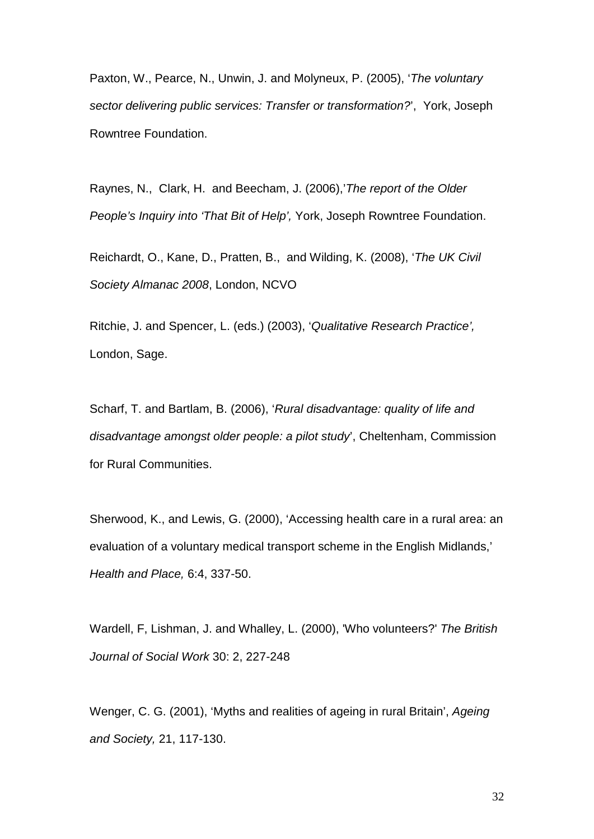Paxton, W., Pearce, N., Unwin, J. and Molyneux, P. (2005), '*The voluntary sector delivering public services: Transfer or transformation?*', York, Joseph Rowntree Foundation.

Raynes, N., Clark, H. and Beecham, J. (2006),'*The report of the Older People's Inquiry into 'That Bit of Help',* York, Joseph Rowntree Foundation.

Reichardt, O., Kane, D., Pratten, B., and Wilding, K. (2008), '*The UK Civil Society Almanac 2008*, London, NCVO

Ritchie, J. and Spencer, L. (eds.) (2003), '*Qualitative Research Practice',* London, Sage.

Scharf, T. and Bartlam, B. (2006), '*Rural disadvantage: quality of life and disadvantage amongst older people: a pilot study*', Cheltenham, Commission for Rural Communities.

Sherwood, K., and Lewis, G. (2000), 'Accessing health care in a rural area: an evaluation of a voluntary medical transport scheme in the English Midlands,' *Health and Place,* 6:4, 337-50.

Wardell, F, Lishman, J. and Whalley, L. (2000), 'Who volunteers?' *The British Journal of Social Work* 30: 2, 227-248

Wenger, C. G. (2001), 'Myths and realities of ageing in rural Britain', *Ageing and Society,* 21, 117-130.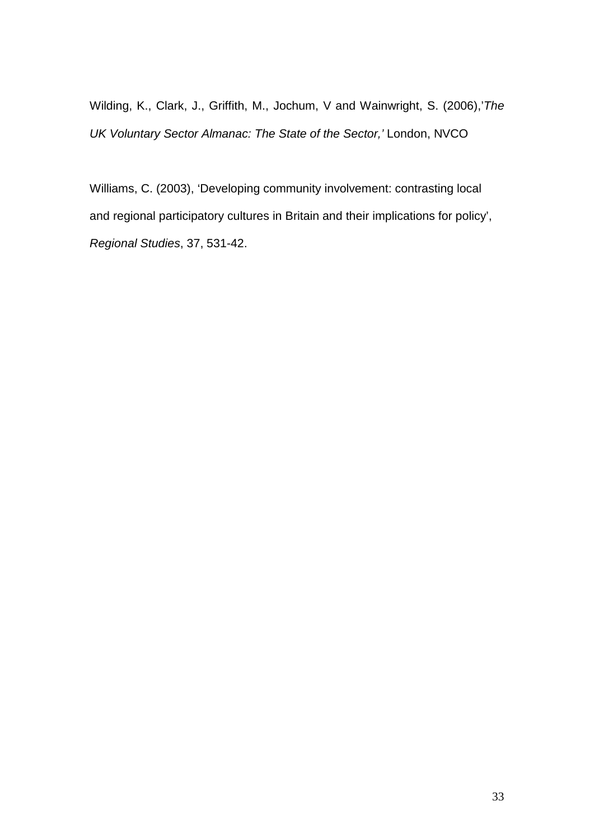Wilding, K., Clark, J., Griffith, M., Jochum, V and Wainwright, S. (2006),'*The UK Voluntary Sector Almanac: The State of the Sector,'* London, NVCO

Williams, C. (2003), 'Developing community involvement: contrasting local and regional participatory cultures in Britain and their implications for policy', *Regional Studies*, 37, 531-42.